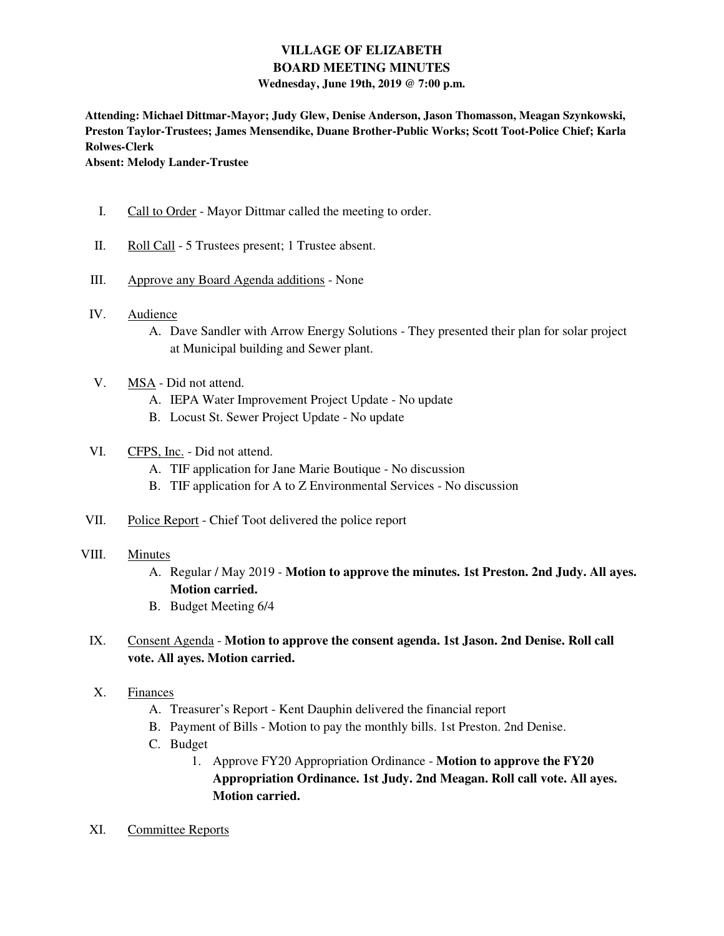# **VILLAGE OF ELIZABETH BOARD MEETING MINUTES**

#### **Wednesday, June 19th, 2019 @ 7:00 p.m.**

**Attending: Michael Dittmar-Mayor; Judy Glew, Denise Anderson, Jason Thomasson, Meagan Szynkowski, Preston Taylor-Trustees; James Mensendike, Duane Brother-Public Works; Scott Toot-Police Chief; Karla Rolwes-Clerk** 

**Absent: Melody Lander-Trustee** 

- I. Call to Order Mayor Dittmar called the meeting to order.
- II. Roll Call 5 Trustees present; 1 Trustee absent.
- III. Approve any Board Agenda additions None
- IV. Audience
	- A. Dave Sandler with Arrow Energy Solutions They presented their plan for solar project at Municipal building and Sewer plant.
- V. MSA Did not attend.
	- A. IEPA Water Improvement Project Update No update
	- B. Locust St. Sewer Project Update No update

### VI. CFPS, Inc. - Did not attend.

- A. TIF application for Jane Marie Boutique No discussion
- B. TIF application for A to Z Environmental Services No discussion
- VII. Police Report Chief Toot delivered the police report
- VIII. Minutes
	- A. Regular / May 2019 **Motion to approve the minutes. 1st Preston. 2nd Judy. All ayes. Motion carried.**
	- B. Budget Meeting 6/4

## IX. Consent Agenda - **Motion to approve the consent agenda. 1st Jason. 2nd Denise. Roll call vote. All ayes. Motion carried.**

- X. Finances
	- A. Treasurer's Report Kent Dauphin delivered the financial report
	- B. Payment of Bills Motion to pay the monthly bills. 1st Preston. 2nd Denise.
	- C. Budget
		- 1. Approve FY20 Appropriation Ordinance **Motion to approve the FY20 Appropriation Ordinance. 1st Judy. 2nd Meagan. Roll call vote. All ayes. Motion carried.**
- XI. Committee Reports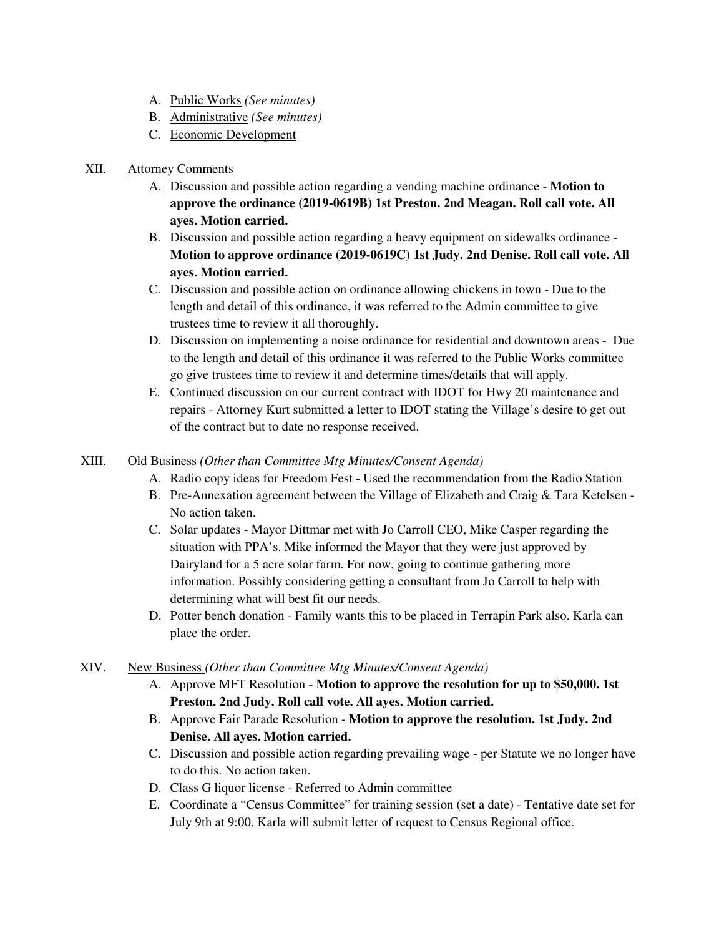- A. Public Works *(See minutes)*
- B. Administrative *(See minutes)*
- C. Economic Development

## XII. Attorney Comments

- A. Discussion and possible action regarding a vending machine ordinance **Motion to approve the ordinance (2019-0619B) 1st Preston. 2nd Meagan. Roll call vote. All ayes. Motion carried.**
- B. Discussion and possible action regarding a heavy equipment on sidewalks ordinance **Motion to approve ordinance (2019-0619C) 1st Judy. 2nd Denise. Roll call vote. All ayes. Motion carried.**
- C. Discussion and possible action on ordinance allowing chickens in town Due to the length and detail of this ordinance, it was referred to the Admin committee to give trustees time to review it all thoroughly.
- D. Discussion on implementing a noise ordinance for residential and downtown areas Due to the length and detail of this ordinance it was referred to the Public Works committee go give trustees time to review it and determine times/details that will apply.
- E. Continued discussion on our current contract with IDOT for Hwy 20 maintenance and repairs - Attorney Kurt submitted a letter to IDOT stating the Village's desire to get out of the contract but to date no response received.

### XIII. Old Business *(Other than Committee Mtg Minutes/Consent Agenda)*

- A. Radio copy ideas for Freedom Fest Used the recommendation from the Radio Station
- B. Pre-Annexation agreement between the Village of Elizabeth and Craig & Tara Ketelsen No action taken.
- C. Solar updates Mayor Dittmar met with Jo Carroll CEO, Mike Casper regarding the situation with PPA's. Mike informed the Mayor that they were just approved by Dairyland for a 5 acre solar farm. For now, going to continue gathering more information. Possibly considering getting a consultant from Jo Carroll to help with determining what will best fit our needs.
- D. Potter bench donation Family wants this to be placed in Terrapin Park also. Karla can place the order.
- XIV. New Business *(Other than Committee Mtg Minutes/Consent Agenda)*
	- A. Approve MFT Resolution **Motion to approve the resolution for up to \$50,000. 1st Preston. 2nd Judy. Roll call vote. All ayes. Motion carried.**
	- B. Approve Fair Parade Resolution **Motion to approve the resolution. 1st Judy. 2nd Denise. All ayes. Motion carried.**
	- C. Discussion and possible action regarding prevailing wage per Statute we no longer have to do this. No action taken.
	- D. Class G liquor license Referred to Admin committee
	- E. Coordinate a "Census Committee" for training session (set a date) Tentative date set for July 9th at 9:00. Karla will submit letter of request to Census Regional office.